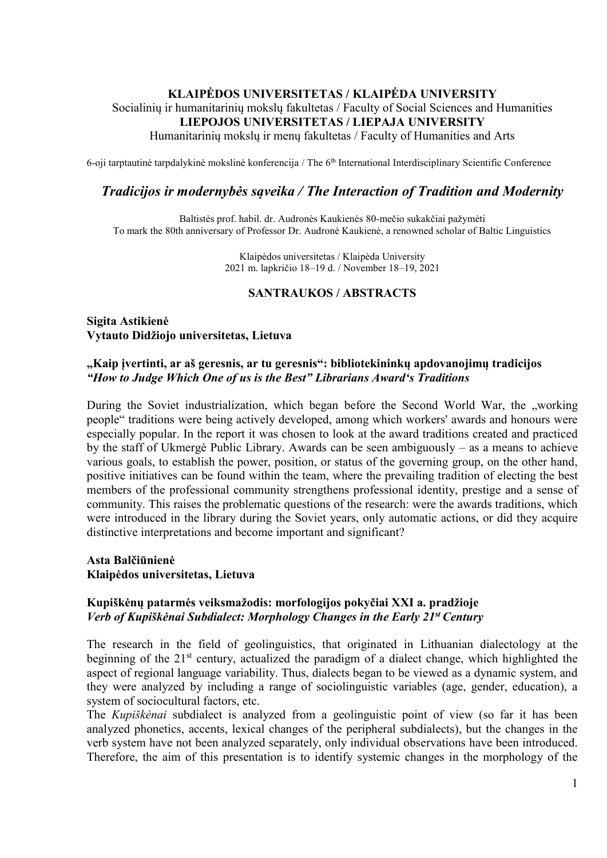## **KLAIPĖDOS UNIVERSITETAS / KLAIPĖDA UNIVERSITY** Socialinių ir humanitarinių mokslų fakultetas / Faculty of Social Sciences and Humanities **LIEPOJOS UNIVERSITETAS / LIEPAJA UNIVERSITY** Humanitarinių mokslų ir menų fakultetas / Faculty of Humanities and Arts

6-oji tarptautinė tarpdalykinė mokslinė konferencija / The 6<sup>th</sup> International Interdisciplinary Scientific Conference

### *Tradicijos ir modernybės sąveika / The Interaction of Tradition and Modernity*

Baltistės prof. habil. dr. Audronės Kaukienės 80-mečio sukakčiai pažymėti To mark the 80th anniversary of Professor Dr. Audronė Kaukienė, a renowned scholar of Baltic Linguistics

> Klaipėdos universitetas / Klaipėda University 2021 m. lapkričio 18–19 d. / November 18–19, 2021

#### **SANTRAUKOS / ABSTRACTS**

**Sigita Astikienė Vytauto Didžiojo universitetas, Lietuva**

#### **"Kaip įvertinti, ar aš geresnis, ar tu geresnis": bibliotekininkų apdovanojimų tradicijos** *"How to Judge Which One of us is the Best" Librarians Award's Traditions*

During the Soviet industrialization, which began before the Second World War, the "working people" traditions were being actively developed, among which workers' awards and honours were especially popular. In the report it was chosen to look at the award traditions created and practiced by the staff of Ukmergė Public Library. Awards can be seen ambiguously – as a means to achieve various goals, to establish the power, position, or status of the governing group, on the other hand, positive initiatives can be found within the team, where the prevailing tradition of electing the best members of the professional community strengthens professional identity, prestige and a sense of community. This raises the problematic questions of the research: were the awards traditions, which were introduced in the library during the Soviet years, only automatic actions, or did they acquire distinctive interpretations and become important and significant?

**Asta Balčiūnienė Klaipėdos universitetas, Lietuva**

#### **Kupiškėnų patarmės veiksmažodis: morfologijos pokyčiai XXI a. pradžioje** *Verb of Kupiškėnai Subdialect: Morphology Changes in the Early 21st Century*

The research in the field of geolinguistics, that originated in Lithuanian dialectology at the beginning of the  $21<sup>st</sup>$  century, actualized the paradigm of a dialect change, which highlighted the aspect of regional language variability. Thus, dialects began to be viewed as a dynamic system, and they were analyzed by including a range of sociolinguistic variables (age, gender, education), a system of sociocultural factors, etc.

The *Kupiškėnai* subdialect is analyzed from a geolinguistic point of view (so far it has been analyzed phonetics, accents, lexical changes of the peripheral subdialects), but the changes in the verb system have not been analyzed separately, only individual observations have been introduced. Therefore, the aim of this presentation is to identify systemic changes in the morphology of the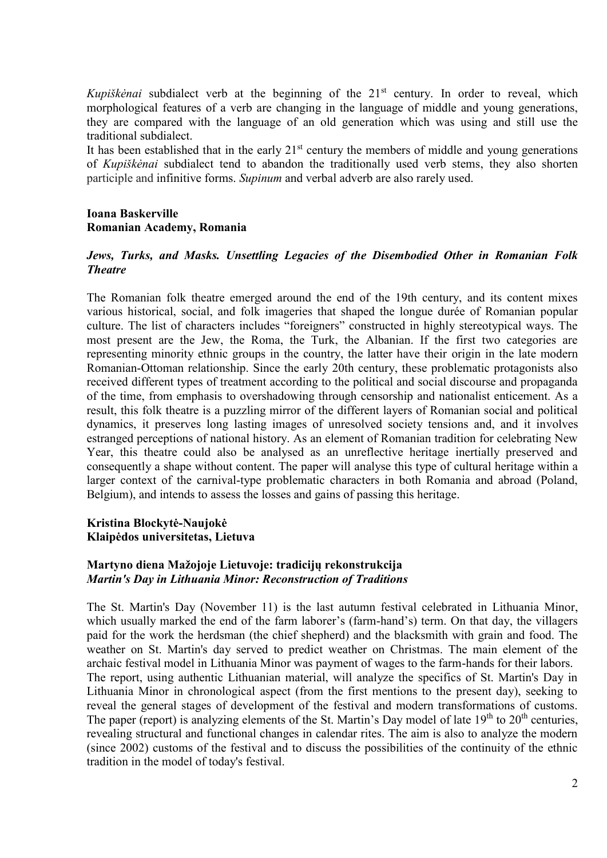*Kupiškėnai* subdialect verb at the beginning of the 21<sup>st</sup> century. In order to reveal, which morphological features of a verb are changing in the language of middle and young generations, they are compared with the language of an old generation which was using and still use the traditional subdialect.

It has been established that in the early  $21<sup>st</sup>$  century the members of middle and young generations of *Kupiškėnai* subdialect tend to abandon the traditionally used verb stems, they also shorten participle and infinitive forms. *Supinum* and verbal adverb are also rarely used.

#### **Ioana Baskerville Romanian Academy, Romania**

### *Jews, Turks, and Masks. Unsettling Legacies of the Disembodied Other in Romanian Folk Theatre*

The Romanian folk theatre emerged around the end of the 19th century, and its content mixes various historical, social, and folk imageries that shaped the longue durée of Romanian popular culture. The list of characters includes "foreigners" constructed in highly stereotypical ways. The most present are the Jew, the Roma, the Turk, the Albanian. If the first two categories are representing minority ethnic groups in the country, the latter have their origin in the late modern Romanian-Ottoman relationship. Since the early 20th century, these problematic protagonists also received different types of treatment according to the political and social discourse and propaganda of the time, from emphasis to overshadowing through censorship and nationalist enticement. As a result, this folk theatre is a puzzling mirror of the different layers of Romanian social and political dynamics, it preserves long lasting images of unresolved society tensions and, and it involves estranged perceptions of national history. As an element of Romanian tradition for celebrating New Year, this theatre could also be analysed as an unreflective heritage inertially preserved and consequently a shape without content. The paper will analyse this type of cultural heritage within a larger context of the carnival-type problematic characters in both Romania and abroad (Poland, Belgium), and intends to assess the losses and gains of passing this heritage.

#### **Kristina Blockytė-Naujokė Klaipėdos universitetas, Lietuva**

### **Martyno diena Mažojoje Lietuvoje: tradicijų rekonstrukcija** *Martin's Day in Lithuania Minor: Reconstruction of Traditions*

The St. Martin's Day (November 11) is the last autumn festival celebrated in Lithuania Minor, which usually marked the end of the farm laborer's (farm-hand's) term. On that day, the villagers paid for the work the herdsman (the chief shepherd) and the blacksmith with grain and food. The weather on St. Martin's day served to predict weather on Christmas. The main element of the archaic festival model in Lithuania Minor was payment of wages to the farm-hands for their labors. The report, using authentic Lithuanian material, will analyze the specifics of St. Martin's Day in Lithuania Minor in chronological aspect (from the first mentions to the present day), seeking to reveal the general stages of development of the festival and modern transformations of customs. The paper (report) is analyzing elements of the St. Martin's Day model of late  $19<sup>th</sup>$  to  $20<sup>th</sup>$  centuries, revealing structural and functional changes in calendar rites. The aim is also to analyze the modern (since 2002) customs of the festival and to discuss the possibilities of the continuity of the ethnic tradition in the model of today's festival.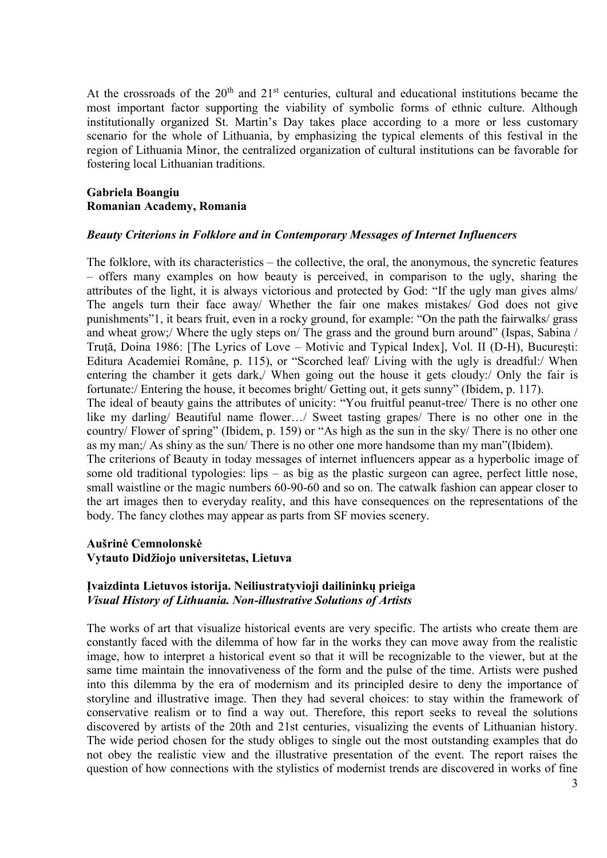At the crossroads of the  $20<sup>th</sup>$  and  $21<sup>st</sup>$  centuries, cultural and educational institutions became the most important factor supporting the viability of symbolic forms of ethnic culture. Although institutionally organized St. Martin's Day takes place according to a more or less customary scenario for the whole of Lithuania, by emphasizing the typical elements of this festival in the region of Lithuania Minor, the centralized organization of cultural institutions can be favorable for fostering local Lithuanian traditions.

#### **Gabriela Boangiu Romanian Academy, Romania**

#### *Beauty Criterions in Folklore and in Contemporary Messages of Internet Influencers*

The folklore, with its characteristics – the collective, the oral, the anonymous, the syncretic features – offers many examples on how beauty is perceived, in comparison to the ugly, sharing the attributes of the light, it is always victorious and protected by God: "If the ugly man gives alms/ The angels turn their face away/ Whether the fair one makes mistakes/ God does not give punishments"1, it bears fruit, even in a rocky ground, for example: "On the path the fairwalks/ grass and wheat grow;/ Where the ugly steps on/ The grass and the ground burn around" (Ispas, Sabina / Truță, Doina 1986: [The Lyrics of Love – Motivic and Typical Index], Vol. II (D-H), București: Editura Academiei Române, p. 115), or "Scorched leaf/ Living with the ugly is dreadful:/ When entering the chamber it gets dark,/ When going out the house it gets cloudy:/ Only the fair is fortunate:/ Entering the house, it becomes bright/ Getting out, it gets sunny" (Ibidem, p. 117). The ideal of beauty gains the attributes of unicity: "You fruitful peanut-tree/ There is no other one like my darling/ Beautiful name flower…/ Sweet tasting grapes/ There is no other one in the country/ Flower of spring" (Ibidem, p. 159) or "As high as the sun in the sky/ There is no other one as my man;/ As shiny as the sun/ There is no other one more handsome than my man"(Ibidem). The criterions of Beauty in today messages of internet influencers appear as a hyperbolic image of some old traditional typologies: lips – as big as the plastic surgeon can agree, perfect little nose, small waistline or the magic numbers 60-90-60 and so on. The catwalk fashion can appear closer to the art images then to everyday reality, and this have consequences on the representations of the

## **Aušrinė Cemnolonskė Vytauto Didžiojo universitetas, Lietuva**

### **Įvaizdinta Lietuvos istorija. Neiliustratyvioji dailininkų prieiga** *Visual History of Lithuania. Non-illustrative Solutions of Artists*

body. The fancy clothes may appear as parts from SF movies scenery.

The works of art that visualize historical events are very specific. The artists who create them are constantly faced with the dilemma of how far in the works they can move away from the realistic image, how to interpret a historical event so that it will be recognizable to the viewer, but at the same time maintain the innovativeness of the form and the pulse of the time. Artists were pushed into this dilemma by the era of modernism and its principled desire to deny the importance of storyline and illustrative image. Then they had several choices: to stay within the framework of conservative realism or to find a way out. Therefore, this report seeks to reveal the solutions discovered by artists of the 20th and 21st centuries, visualizing the events of Lithuanian history. The wide period chosen for the study obliges to single out the most outstanding examples that do not obey the realistic view and the illustrative presentation of the event. The report raises the question of how connections with the stylistics of modernist trends are discovered in works of fine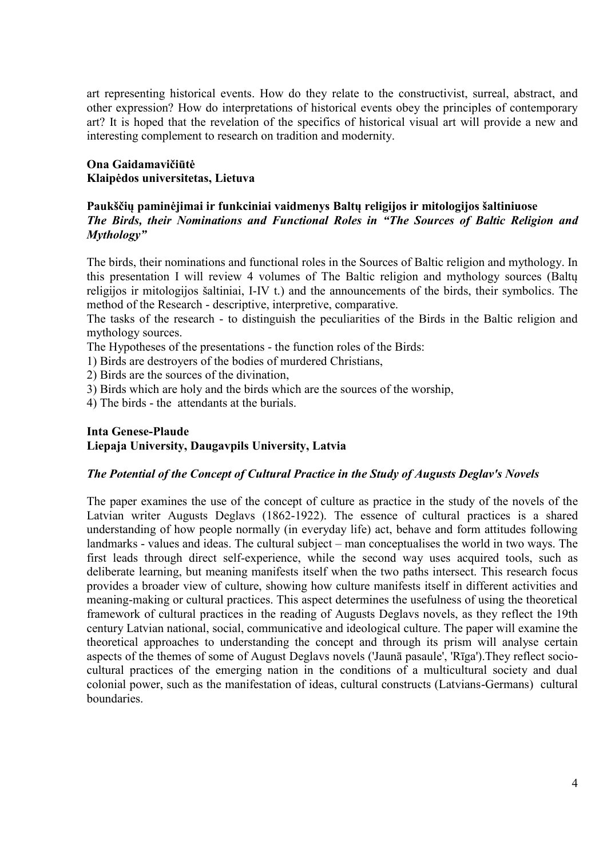art representing historical events. How do they relate to the constructivist, surreal, abstract, and other expression? How do interpretations of historical events obey the principles of contemporary art? It is hoped that the revelation of the specifics of historical visual art will provide a new and interesting complement to research on tradition and modernity.

### **Ona Gaidamavičiūtė Klaipėdos universitetas, Lietuva**

#### **Paukščių paminėjimai ir funkciniai vaidmenys Baltų religijos ir mitologijos šaltiniuose** *The Birds, their Nominations and Functional Roles in "The Sources of Baltic Religion and Mythology"*

The birds, their nominations and functional roles in the Sources of Baltic religion and mythology. In this presentation I will review 4 volumes of The Baltic religion and mythology sources (Baltų religijos ir mitologijos šaltiniai, I-IV t.) and the announcements of the birds, their symbolics. The method of the Research - descriptive, interpretive, comparative.

The tasks of the research - to distinguish the peculiarities of the Birds in the Baltic religion and mythology sources.

The Hypotheses of the presentations - the function roles of the Birds:

1) Birds are destroyers of the bodies of murdered Christians,

- 2) Birds are the sources of the divination,
- 3) Birds which are holy and the birds which are the sources of the worship,

4) The birds - the attendants at the burials.

## **Inta Genese-Plaude Liepaja University, Daugavpils University, Latvia**

#### *The Potential of the Concept of Cultural Practice in the Study of Augusts Deglav's Novels*

The paper examines the use of the concept of culture as practice in the study of the novels of the Latvian writer Augusts Deglavs (1862-1922). The essence of cultural practices is a shared understanding of how people normally (in everyday life) act, behave and form attitudes following landmarks - values and ideas. The cultural subject – man conceptualises the world in two ways. The first leads through direct self-experience, while the second way uses acquired tools, such as deliberate learning, but meaning manifests itself when the two paths intersect. This research focus provides a broader view of culture, showing how culture manifests itself in different activities and meaning-making or cultural practices. This aspect determines the usefulness of using the theoretical framework of cultural practices in the reading of Augusts Deglavs novels, as they reflect the 19th century Latvian national, social, communicative and ideological culture. The paper will examine the theoretical approaches to understanding the concept and through its prism will analyse certain aspects of the themes of some of August Deglavs novels ('Jaunā pasaule', 'Rīga').They reflect sociocultural practices of the emerging nation in the conditions of a multicultural society and dual colonial power, such as the manifestation of ideas, cultural constructs (Latvians-Germans) cultural boundaries.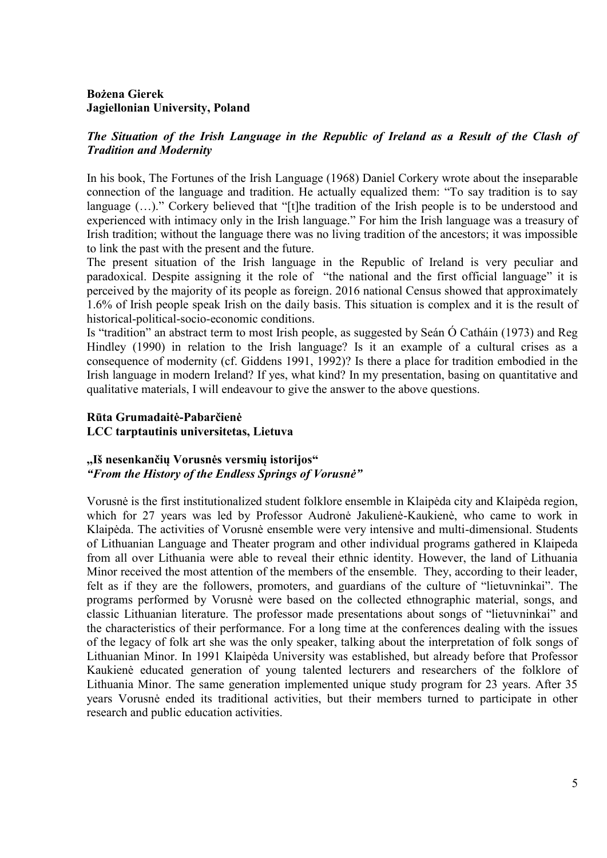## **Bożena Gierek Jagiellonian University, Poland**

## *The Situation of the Irish Language in the Republic of Ireland as a Result of the Clash of Tradition and Modernity*

In his book, The Fortunes of the Irish Language (1968) Daniel Corkery wrote about the inseparable connection of the language and tradition. He actually equalized them: "To say tradition is to say language  $(...)$ ." Corkery believed that "[t]he tradition of the Irish people is to be understood and experienced with intimacy only in the Irish language." For him the Irish language was a treasury of Irish tradition; without the language there was no living tradition of the ancestors; it was impossible to link the past with the present and the future.

The present situation of the Irish language in the Republic of Ireland is very peculiar and paradoxical. Despite assigning it the role of "the national and the first official language" it is perceived by the majority of its people as foreign. 2016 national Census showed that approximately 1.6% of Irish people speak Irish on the daily basis. This situation is complex and it is the result of historical-political-socio-economic conditions.

Is "tradition" an abstract term to most Irish people, as suggested by Seán Ó Catháin (1973) and Reg Hindley (1990) in relation to the Irish language? Is it an example of a cultural crises as a consequence of modernity (cf. Giddens 1991, 1992)? Is there a place for tradition embodied in the Irish language in modern Ireland? If yes, what kind? In my presentation, basing on quantitative and qualitative materials, I will endeavour to give the answer to the above questions.

## **Rūta Grumadaitė-Pabarčienė LCC tarptautinis universitetas, Lietuva**

### **,,Iš nesenkančių Vorusnės versmių istorijos"** *"From the History of the Endless Springs of Vorusnė"*

Vorusnė is the first institutionalized student folklore ensemble in Klaipėda city and Klaipėda region, which for 27 years was led by Professor Audronė Jakulienė-Kaukienė, who came to work in Klaipėda. The activities of Vorusnė ensemble were very intensive and multi-dimensional. Students of Lithuanian Language and Theater program and other individual programs gathered in Klaipeda from all over Lithuania were able to reveal their ethnic identity. However, the land of Lithuania Minor received the most attention of the members of the ensemble. They, according to their leader, felt as if they are the followers, promoters, and guardians of the culture of "lietuvninkai". The programs performed by Vorusnė were based on the collected ethnographic material, songs, and classic Lithuanian literature. The professor made presentations about songs of "lietuvninkai" and the characteristics of their performance. For a long time at the conferences dealing with the issues of the legacy of folk art she was the only speaker, talking about the interpretation of folk songs of Lithuanian Minor. In 1991 Klaipėda University was established, but already before that Professor Kaukienė educated generation of young talented lecturers and researchers of the folklore of Lithuania Minor. The same generation implemented unique study program for 23 years. After 35 years Vorusnė ended its traditional activities, but their members turned to participate in other research and public education activities.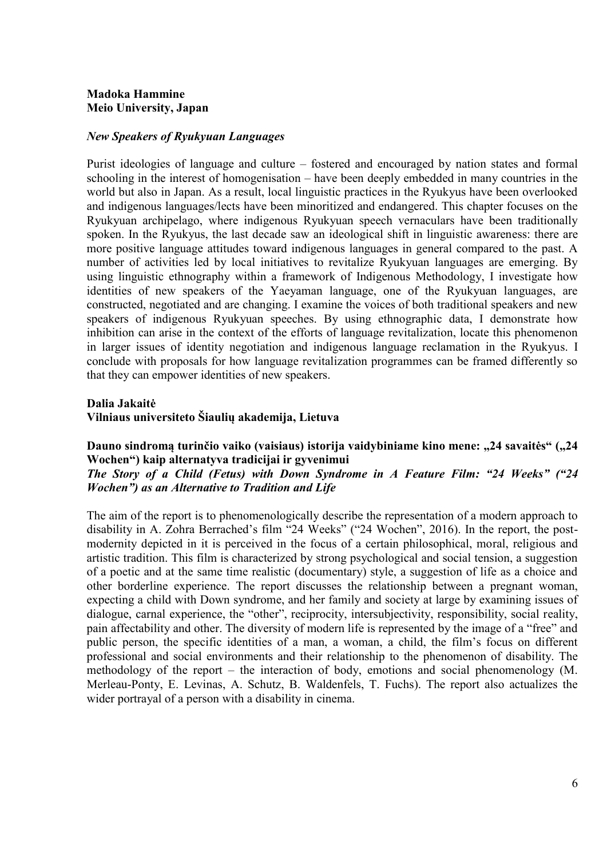## **Madoka Hammine Meio University, Japan**

#### *New Speakers of Ryukyuan Languages*

Purist ideologies of language and culture – fostered and encouraged by nation states and formal schooling in the interest of homogenisation – have been deeply embedded in many countries in the world but also in Japan. As a result, local linguistic practices in the Ryukyus have been overlooked and indigenous languages/lects have been minoritized and endangered. This chapter focuses on the Ryukyuan archipelago, where indigenous Ryukyuan speech vernaculars have been traditionally spoken. In the Ryukyus, the last decade saw an ideological shift in linguistic awareness: there are more positive language attitudes toward indigenous languages in general compared to the past. A number of activities led by local initiatives to revitalize Ryukyuan languages are emerging. By using linguistic ethnography within a framework of Indigenous Methodology, I investigate how identities of new speakers of the Yaeyaman language, one of the Ryukyuan languages, are constructed, negotiated and are changing. I examine the voices of both traditional speakers and new speakers of indigenous Ryukyuan speeches. By using ethnographic data, I demonstrate how inhibition can arise in the context of the efforts of language revitalization, locate this phenomenon in larger issues of identity negotiation and indigenous language reclamation in the Ryukyus. I conclude with proposals for how language revitalization programmes can be framed differently so that they can empower identities of new speakers.

#### **Dalia Jakaitė**

**Vilniaus universiteto Šiaulių akademija, Lietuva**

Dauno sindromą turinčio vaiko (vaisiaus) istorija vaidybiniame kino mene: "24 savaitės" ("24 **Wochen") kaip alternatyva tradicijai ir gyvenimui**

*The Story of a Child (Fetus) with Down Syndrome in A Feature Film: "24 Weeks" ("24 Wochen") as an Alternative to Tradition and Life*

The aim of the report is to phenomenologically describe the representation of a modern approach to disability in A. Zohra Berrached's film "24 Weeks" ("24 Wochen", 2016). In the report, the postmodernity depicted in it is perceived in the focus of a certain philosophical, moral, religious and artistic tradition. This film is characterized by strong psychological and social tension, a suggestion of a poetic and at the same time realistic (documentary) style, a suggestion of life as a choice and other borderline experience. The report discusses the relationship between a pregnant woman, expecting a child with Down syndrome, and her family and society at large by examining issues of dialogue, carnal experience, the "other", reciprocity, intersubjectivity, responsibility, social reality, pain affectability and other. The diversity of modern life is represented by the image of a "free" and public person, the specific identities of a man, a woman, a child, the film's focus on different professional and social environments and their relationship to the phenomenon of disability. The methodology of the report – the interaction of body, emotions and social phenomenology (M. Merleau-Ponty, E. Levinas, A. Schutz, B. Waldenfels, T. Fuchs). The report also actualizes the wider portrayal of a person with a disability in cinema.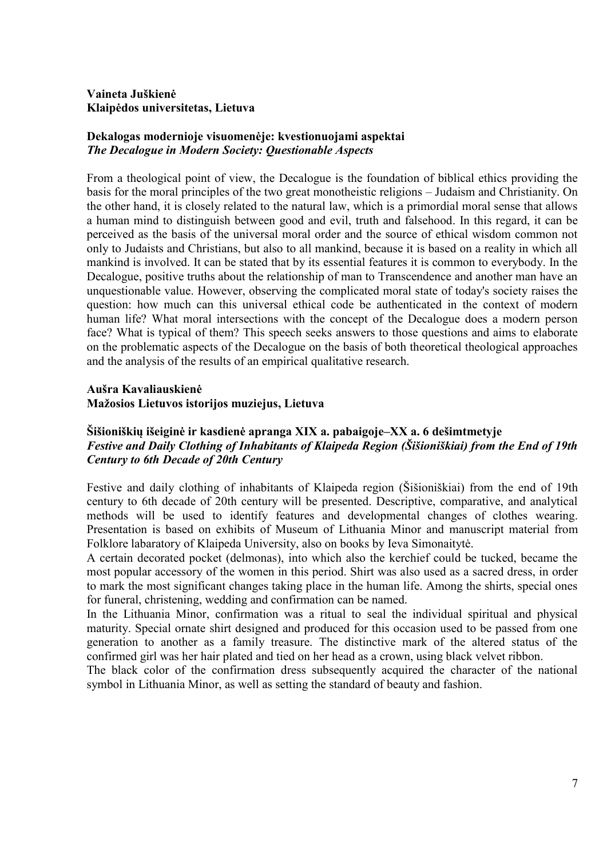## **Vaineta Juškienė Klaipėdos universitetas, Lietuva**

## **Dekalogas modernioje visuomenėje: kvestionuojami aspektai** *The Decalogue in Modern Society: Questionable Aspects*

From a theological point of view, the Decalogue is the foundation of biblical ethics providing the basis for the moral principles of the two great monotheistic religions – Judaism and Christianity. On the other hand, it is closely related to the natural law, which is a primordial moral sense that allows a human mind to distinguish between good and evil, truth and falsehood. In this regard, it can be perceived as the basis of the universal moral order and the source of ethical wisdom common not only to Judaists and Christians, but also to all mankind, because it is based on a reality in which all mankind is involved. It can be stated that by its essential features it is common to everybody. In the Decalogue, positive truths about the relationship of man to Transcendence and another man have an unquestionable value. However, observing the complicated moral state of today's society raises the question: how much can this universal ethical code be authenticated in the context of modern human life? What moral intersections with the concept of the Decalogue does a modern person face? What is typical of them? This speech seeks answers to those questions and aims to elaborate on the problematic aspects of the Decalogue on the basis of both theoretical theological approaches and the analysis of the results of an empirical qualitative research.

#### **Aušra Kavaliauskienė Mažosios Lietuvos istorijos muziejus, Lietuva**

### **Šišioniškių išeiginė ir kasdienė apranga XIX a. pabaigoje–XX a. 6 dešimtmetyje** *Festive and Daily Clothing of Inhabitants of Klaipeda Region (Šišioniškiai) from the End of 19th Century to 6th Decade of 20th Century*

Festive and daily clothing of inhabitants of Klaipeda region (Šišioniškiai) from the end of 19th century to 6th decade of 20th century will be presented. Descriptive, comparative, and analytical methods will be used to identify features and developmental changes of clothes wearing. Presentation is based on exhibits of Museum of Lithuania Minor and manuscript material from Folklore labaratory of Klaipeda University, also on books by Ieva Simonaitytė.

A certain decorated pocket (delmonas), into which also the kerchief could be tucked, became the most popular accessory of the women in this period. Shirt was also used as a sacred dress, in order to mark the most significant changes taking place in the human life. Among the shirts, special ones for funeral, christening, wedding and confirmation can be named.

In the Lithuania Minor, confirmation was a ritual to seal the individual spiritual and physical maturity. Special ornate shirt designed and produced for this occasion used to be passed from one generation to another as a family treasure. The distinctive mark of the altered status of the confirmed girl was her hair plated and tied on her head as a crown, using black velvet ribbon.

The black color of the confirmation dress subsequently acquired the character of the national symbol in Lithuania Minor, as well as setting the standard of beauty and fashion.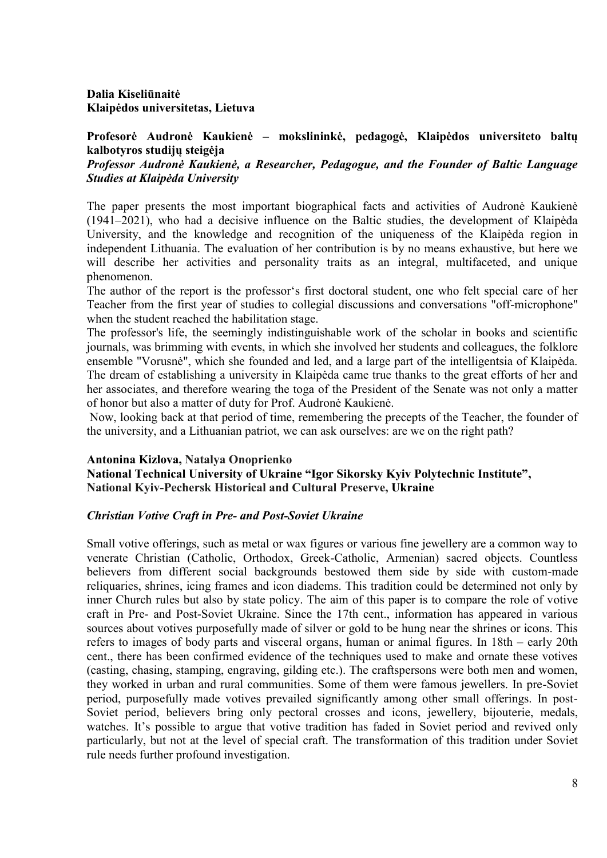## **Dalia Kiseliūnaitė Klaipėdos universitetas, Lietuva**

## **Profesorė Audronė Kaukienė – mokslininkė, pedagogė, Klaipėdos universiteto baltų kalbotyros studijų steigėja**

## *Professor Audronė Kaukienė, a Researcher, Pedagogue, and the Founder of Baltic Language Studies at Klaipėda University*

The paper presents the most important biographical facts and activities of Audronė Kaukienė (1941‒2021), who had a decisive influence on the Baltic studies, the development of Klaipėda University, and the knowledge and recognition of the uniqueness of the Klaipėda region in independent Lithuania. The evaluation of her contribution is by no means exhaustive, but here we will describe her activities and personality traits as an integral, multifaceted, and unique phenomenon.

The author of the report is the professor's first doctoral student, one who felt special care of her Teacher from the first year of studies to collegial discussions and conversations "off-microphone" when the student reached the habilitation stage.

The professor's life, the seemingly indistinguishable work of the scholar in books and scientific journals, was brimming with events, in which she involved her students and colleagues, the folklore ensemble "Vorusnė", which she founded and led, and a large part of the intelligentsia of Klaipėda. The dream of establishing a university in Klaipėda came true thanks to the great efforts of her and her associates, and therefore wearing the toga of the President of the Senate was not only a matter of honor but also a matter of duty for Prof. Audronė Kaukienė.

Now, looking back at that period of time, remembering the precepts of the Teacher, the founder of the university, and a Lithuanian patriot, we can ask ourselves: are we on the right path?

#### **Antonina Kizlova, Natalya Onoprienko**

**National Technical University of Ukraine "Igor Sikorsky Kyiv Polytechnic Institute", National Kyiv-Pechersk Historical and Cultural Preserve, Ukraine**

## *Christian Votive Craft in Pre- and Post-Soviet Ukraine*

Small votive offerings, such as metal or wax figures or various fine jewellery are a common way to venerate Christian (Catholic, Orthodox, Greek-Catholic, Armenian) sacred objects. Countless believers from different social backgrounds bestowed them side by side with custom-made reliquaries, shrines, icing frames and icon diadems. This tradition could be determined not only by inner Church rules but also by state policy. The aim of this paper is to compare the role of votive craft in Pre- and Post-Soviet Ukraine. Since the 17th cent., information has appeared in various sources about votives purposefully made of silver or gold to be hung near the shrines or icons. This refers to images of body parts and visceral organs, human or animal figures. In 18th – early 20th cent., there has been confirmed evidence of the techniques used to make and ornate these votives (casting, chasing, stamping, engraving, gilding etc.). The craftspersons were both men and women, they worked in urban and rural communities. Some of them were famous jewellers. In pre-Soviet period, purposefully made votives prevailed significantly among other small offerings. In post-Soviet period, believers bring only pectoral crosses and icons, jewellery, bijouterie, medals, watches. It's possible to argue that votive tradition has faded in Soviet period and revived only particularly, but not at the level of special craft. The transformation of this tradition under Soviet rule needs further profound investigation.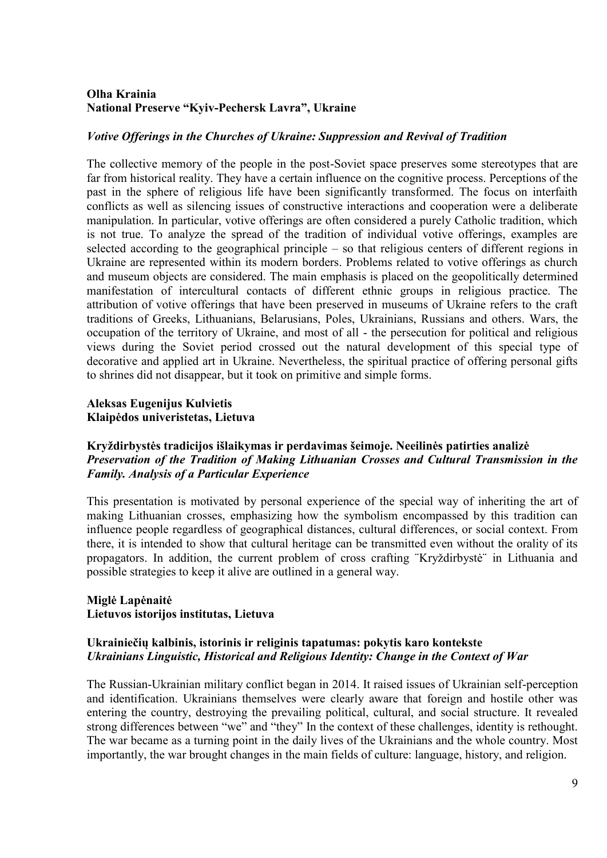## **Olha Krainia National Preserve "Kyiv-Pechersk Lavra", Ukraine**

#### *Votive Offerings in the Churches of Ukraine: Suppression and Revival of Tradition*

The collective memory of the people in the post-Soviet space preserves some stereotypes that are far from historical reality. They have a certain influence on the cognitive process. Perceptions of the past in the sphere of religious life have been significantly transformed. The focus on interfaith conflicts as well as silencing issues of constructive interactions and cooperation were a deliberate manipulation. In particular, votive offerings are often considered a purely Catholic tradition, which is not true. To analyze the spread of the tradition of individual votive offerings, examples are selected according to the geographical principle – so that religious centers of different regions in Ukraine are represented within its modern borders. Problems related to votive offerings as church and museum objects are considered. The main emphasis is placed on the geopolitically determined manifestation of intercultural contacts of different ethnic groups in religious practice. The attribution of votive offerings that have been preserved in museums of Ukraine refers to the craft traditions of Greeks, Lithuanians, Belarusians, Poles, Ukrainians, Russians and others. Wars, the occupation of the territory of Ukraine, and most of all - the persecution for political and religious views during the Soviet period crossed out the natural development of this special type of decorative and applied art in Ukraine. Nevertheless, the spiritual practice of offering personal gifts to shrines did not disappear, but it took on primitive and simple forms.

## **Aleksas Eugenijus Kulvietis Klaipėdos univeristetas, Lietuva**

### **Kryždirbystės tradicijos išlaikymas ir perdavimas šeimoje. Neeilinės patirties analizė** *Preservation of the Tradition of Making Lithuanian Crosses and Cultural Transmission in the Family. Analysis of a Particular Experience*

This presentation is motivated by personal experience of the special way of inheriting the art of making Lithuanian crosses, emphasizing how the symbolism encompassed by this tradition can influence people regardless of geographical distances, cultural differences, or social context. From there, it is intended to show that cultural heritage can be transmitted even without the orality of its propagators. In addition, the current problem of cross crafting ¨Kryždirbystė¨ in Lithuania and possible strategies to keep it alive are outlined in a general way.

### **Miglė Lapėnaitė Lietuvos istorijos institutas, Lietuva**

## **Ukrainiečių kalbinis, istorinis ir religinis tapatumas: pokytis karo kontekste** *Ukrainians Linguistic, Historical and Religious Identity: Change in the Context of War*

The Russian-Ukrainian military conflict began in 2014. It raised issues of Ukrainian self-perception and identification. Ukrainians themselves were clearly aware that foreign and hostile other was entering the country, destroying the prevailing political, cultural, and social structure. It revealed strong differences between "we" and "they" In the context of these challenges, identity is rethought. The war became as a turning point in the daily lives of the Ukrainians and the whole country. Most importantly, the war brought changes in the main fields of culture: language, history, and religion.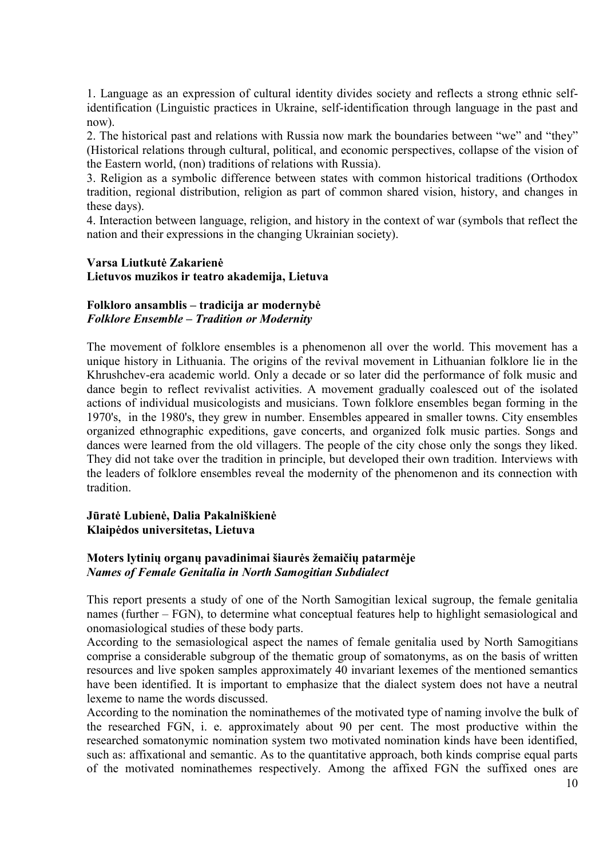1. Language as an expression of cultural identity divides society and reflects a strong ethnic selfidentification (Linguistic practices in Ukraine, self-identification through language in the past and now).

2. The historical past and relations with Russia now mark the boundaries between "we" and "they" (Historical relations through cultural, political, and economic perspectives, collapse of the vision of the Eastern world, (non) traditions of relations with Russia).

3. Religion as a symbolic difference between states with common historical traditions (Orthodox tradition, regional distribution, religion as part of common shared vision, history, and changes in these days).

4. Interaction between language, religion, and history in the context of war (symbols that reflect the nation and their expressions in the changing Ukrainian society).

## **Varsa Liutkutė Zakarienė Lietuvos muzikos ir teatro akademija, Lietuva**

### **Folkloro ansamblis – tradicija ar modernybė** *Folklore Ensemble – Tradition or Modernity*

The movement of folklore ensembles is a phenomenon all over the world. This movement has a unique history in Lithuania. The origins of the revival movement in Lithuanian folklore lie in the Khrushchev-era academic world. Only a decade or so later did the performance of folk music and dance begin to reflect revivalist activities. A movement gradually coalesced out of the isolated actions of individual musicologists and musicians. Town folklore ensembles began forming in the 1970's, in the 1980's, they grew in number. Ensembles appeared in smaller towns. City ensembles organized ethnographic expeditions, gave concerts, and organized folk music parties. Songs and dances were learned from the old villagers. The people of the city chose only the songs they liked. They did not take over the tradition in principle, but developed their own tradition. Interviews with the leaders of folklore ensembles reveal the modernity of the phenomenon and its connection with tradition.

### **Jūratė Lubienė, Dalia Pakalniškienė Klaipėdos universitetas, Lietuva**

### **Moters lytinių organų pavadinimai šiaurės žemaičių patarmėje** *Names of Female Genitalia in North Samogitian Subdialect*

This report presents a study of one of the North Samogitian lexical sugroup, the female genitalia names (further – FGN), to determine what conceptual features help to highlight semasiological and onomasiological studies of these body parts.

According to the semasiological aspect the names of female genitalia used by North Samogitians comprise a considerable subgroup of the thematic group of somatonyms, as on the basis of written resources and live spoken samples approximately 40 invariant lexemes of the mentioned semantics have been identified. It is important to emphasize that the dialect system does not have a neutral lexeme to name the words discussed.

According to the nomination the nominathemes of the motivated type of naming involve the bulk of the researched FGN, i. e. approximately about 90 per cent. The most productive within the researched somatonymic nomination system two motivated nomination kinds have been identified, such as: affixational and semantic. As to the quantitative approach, both kinds comprise equal parts of the motivated nominathemes respectively. Among the affixed FGN the suffixed ones are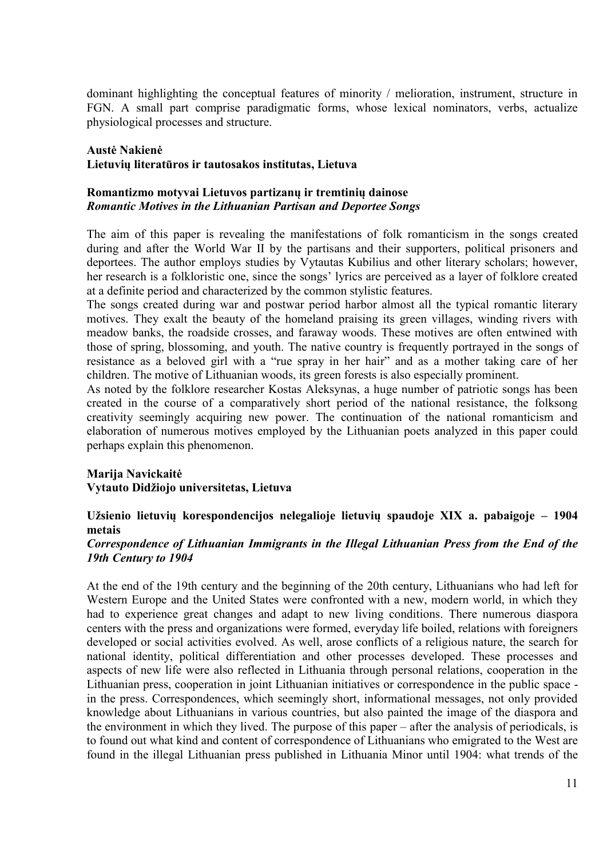dominant highlighting the conceptual features of minority / melioration, instrument, structure in FGN. A small part comprise paradigmatic forms, whose lexical nominators, verbs, actualize physiological processes and structure.

#### **Austė Nakienė Lietuvių literatūros ir tautosakos institutas, Lietuva**

#### **Romantizmo motyvai Lietuvos partizanų ir tremtinių dainose** *Romantic Motives in the Lithuanian Partisan and Deportee Songs*

The aim of this paper is revealing the manifestations of folk romanticism in the songs created during and after the World War II by the partisans and their supporters, political prisoners and deportees. The author employs studies by Vytautas Kubilius and other literary scholars; however, her research is a folkloristic one, since the songs' lyrics are perceived as a layer of folklore created at a definite period and characterized by the common stylistic features.

The songs created during war and postwar period harbor almost all the typical romantic literary motives. They exalt the beauty of the homeland praising its green villages, winding rivers with meadow banks, the roadside crosses, and faraway woods. These motives are often entwined with those of spring, blossoming, and youth. The native country is frequently portrayed in the songs of resistance as a beloved girl with a "rue spray in her hair" and as a mother taking care of her children. The motive of Lithuanian woods, its green forests is also especially prominent.

As noted by the folklore researcher Kostas Aleksynas, a huge number of patriotic songs has been created in the course of a comparatively short period of the national resistance, the folksong creativity seemingly acquiring new power. The continuation of the national romanticism and elaboration of numerous motives employed by the Lithuanian poets analyzed in this paper could perhaps explain this phenomenon.

## **Marija Navickaitė Vytauto Didžiojo universitetas, Lietuva**

# **Užsienio lietuvių korespondencijos nelegalioje lietuvių spaudoje XIX a. pabaigoje – 1904 metais**

### *Correspondence of Lithuanian Immigrants in the Illegal Lithuanian Press from the End of the 19th Century to 1904*

At the end of the 19th century and the beginning of the 20th century, Lithuanians who had left for Western Europe and the United States were confronted with a new, modern world, in which they had to experience great changes and adapt to new living conditions. There numerous diaspora centers with the press and organizations were formed, everyday life boiled, relations with foreigners developed or social activities evolved. As well, arose conflicts of a religious nature, the search for national identity, political differentiation and other processes developed. These processes and aspects of new life were also reflected in Lithuania through personal relations, cooperation in the Lithuanian press, cooperation in joint Lithuanian initiatives or correspondence in the public space in the press. Correspondences, which seemingly short, informational messages, not only provided knowledge about Lithuanians in various countries, but also painted the image of the diaspora and the environment in which they lived. The purpose of this paper – after the analysis of periodicals, is to found out what kind and content of correspondence of Lithuanians who emigrated to the West are found in the illegal Lithuanian press published in Lithuania Minor until 1904: what trends of the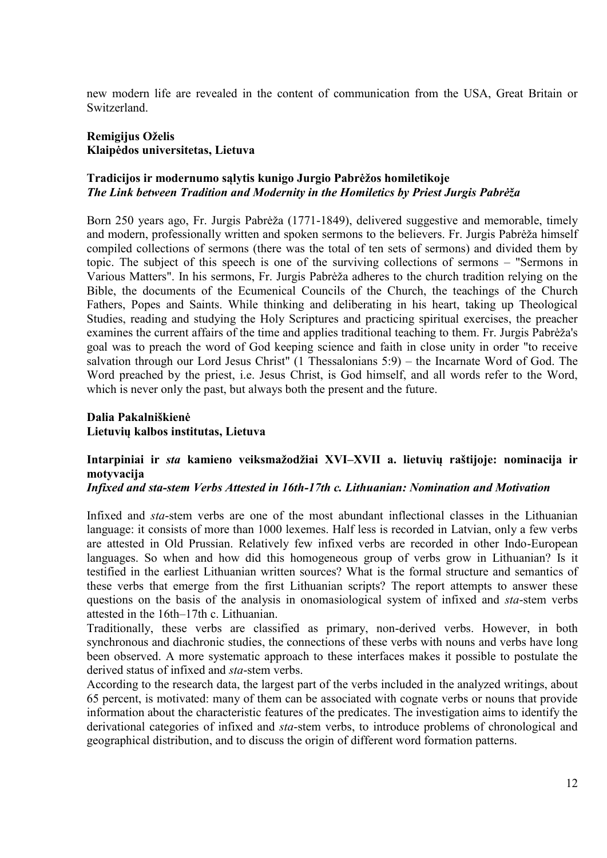new modern life are revealed in the content of communication from the USA, Great Britain or Switzerland.

### **Remigijus Oželis Klaipėdos universitetas, Lietuva**

### **Tradicijos ir modernumo sąlytis kunigo Jurgio Pabrėžos homiletikoje** *The Link between Tradition and Modernity in the Homiletics by Priest Jurgis Pabrėža*

Born 250 years ago, Fr. Jurgis Pabrėža (1771-1849), delivered suggestive and memorable, timely and modern, professionally written and spoken sermons to the believers. Fr. Jurgis Pabrėža himself compiled collections of sermons (there was the total of ten sets of sermons) and divided them by topic. The subject of this speech is one of the surviving collections of sermons – "Sermons in Various Matters". In his sermons, Fr. Jurgis Pabrėža adheres to the church tradition relying on the Bible, the documents of the Ecumenical Councils of the Church, the teachings of the Church Fathers, Popes and Saints. While thinking and deliberating in his heart, taking up Theological Studies, reading and studying the Holy Scriptures and practicing spiritual exercises, the preacher examines the current affairs of the time and applies traditional teaching to them. Fr. Jurgis Pabrėža's goal was to preach the word of God keeping science and faith in close unity in order "to receive salvation through our Lord Jesus Christ" (1 Thessalonians 5:9) – the Incarnate Word of God. The Word preached by the priest, i.e. Jesus Christ, is God himself, and all words refer to the Word, which is never only the past, but always both the present and the future.

**Dalia Pakalniškienė Lietuvių kalbos institutas, Lietuva**

## **Intarpiniai ir** *sta* **kamieno veiksmažodžiai XVI–XVII a. lietuvių raštijoje: nominacija ir motyvacija**

#### *Infixed and sta-stem Verbs Attested in 16th-17th c. Lithuanian: Nomination and Motivation*

Infixed and *sta*-stem verbs are one of the most abundant inflectional classes in the Lithuanian language: it consists of more than 1000 lexemes. Half less is recorded in Latvian, only a few verbs are attested in Old Prussian. Relatively few infixed verbs are recorded in other Indo-European languages. So when and how did this homogeneous group of verbs grow in Lithuanian? Is it testified in the earliest Lithuanian written sources? What is the formal structure and semantics of these verbs that emerge from the first Lithuanian scripts? The report attempts to answer these questions on the basis of the analysis in onomasiological system of infixed and *sta*-stem verbs attested in the 16th–17th c. Lithuanian.

Traditionally, these verbs are classified as primary, non-derived verbs. However, in both synchronous and diachronic studies, the connections of these verbs with nouns and verbs have long been observed. A more systematic approach to these interfaces makes it possible to postulate the derived status of infixed and *sta*-stem verbs.

According to the research data, the largest part of the verbs included in the analyzed writings, about 65 percent, is motivated: many of them can be associated with cognate verbs or nouns that provide information about the characteristic features of the predicates. The investigation aims to identify the derivational categories of infixed and *sta*-stem verbs, to introduce problems of chronological and geographical distribution, and to discuss the origin of different word formation patterns.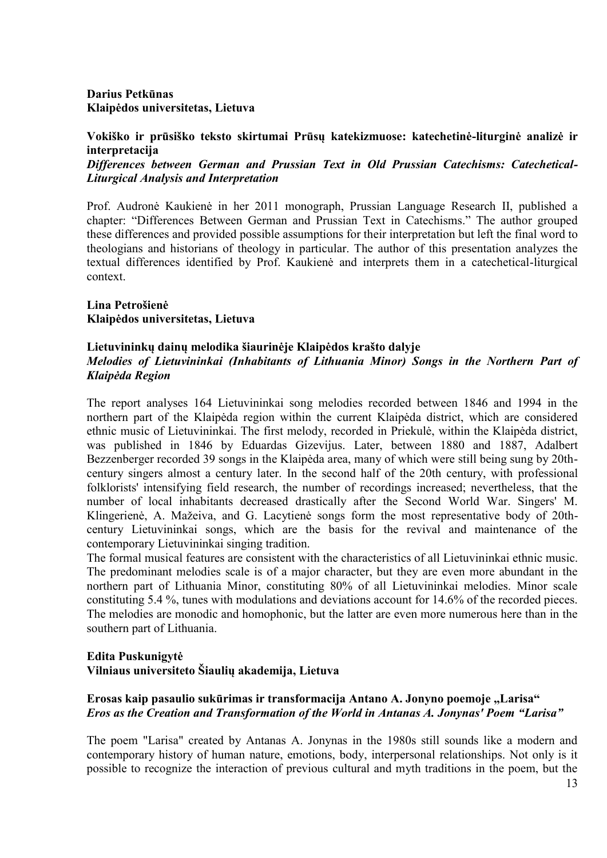## **Darius Petkūnas Klaipėdos universitetas, Lietuva**

**Vokiško ir prūsiško teksto skirtumai Prūsų katekizmuose: katechetinė-liturginė analizė ir interpretacija**

*Differences between German and Prussian Text in Old Prussian Catechisms: Catechetical-Liturgical Analysis and Interpretation*

Prof. Audronė Kaukienė in her 2011 monograph, Prussian Language Research II, published a chapter: "Differences Between German and Prussian Text in Catechisms." The author grouped these differences and provided possible assumptions for their interpretation but left the final word to theologians and historians of theology in particular. The author of this presentation analyzes the textual differences identified by Prof. Kaukienė and interprets them in a catechetical-liturgical context.

### **Lina Petrošienė Klaipėdos universitetas, Lietuva**

### **Lietuvininkų dainų melodika šiaurinėje Klaipėdos krašto dalyje**

### *Melodies of Lietuvininkai (Inhabitants of Lithuania Minor) Songs in the Northern Part of Klaipėda Region*

The report analyses 164 Lietuvininkai song melodies recorded between 1846 and 1994 in the northern part of the Klaipėda region within the current Klaipėda district, which are considered ethnic music of Lietuvininkai. The first melody, recorded in Priekulė, within the Klaipėda district, was published in 1846 by Eduardas Gizevijus. Later, between 1880 and 1887, Adalbert Bezzenberger recorded 39 songs in the Klaipėda area, many of which were still being sung by 20thcentury singers almost a century later. In the second half of the 20th century, with professional folklorists' intensifying field research, the number of recordings increased; nevertheless, that the number of local inhabitants decreased drastically after the Second World War. Singers' M. Klingerienė, A. Mažeiva, and G. Lacytienė songs form the most representative body of 20thcentury Lietuvininkai songs, which are the basis for the revival and maintenance of the contemporary Lietuvininkai singing tradition.

The formal musical features are consistent with the characteristics of all Lietuvininkai ethnic music. The predominant melodies scale is of a major character, but they are even more abundant in the northern part of Lithuania Minor, constituting 80% of all Lietuvininkai melodies. Minor scale constituting 5.4 %, tunes with modulations and deviations account for 14.6% of the recorded pieces. The melodies are monodic and homophonic, but the latter are even more numerous here than in the southern part of Lithuania.

### **Edita Puskunigytė Vilniaus universiteto Šiaulių akademija, Lietuva**

### Erosas kaip pasaulio sukūrimas ir transformacija Antano A. Jonyno poemoje "Larisa" *Eros as the Creation and Transformation of the World in Antanas A. Jonynas' Poem "Larisa"*

The poem "Larisa" created by Antanas A. Jonynas in the 1980s still sounds like a modern and contemporary history of human nature, emotions, body, interpersonal relationships. Not only is it possible to recognize the interaction of previous cultural and myth traditions in the poem, but the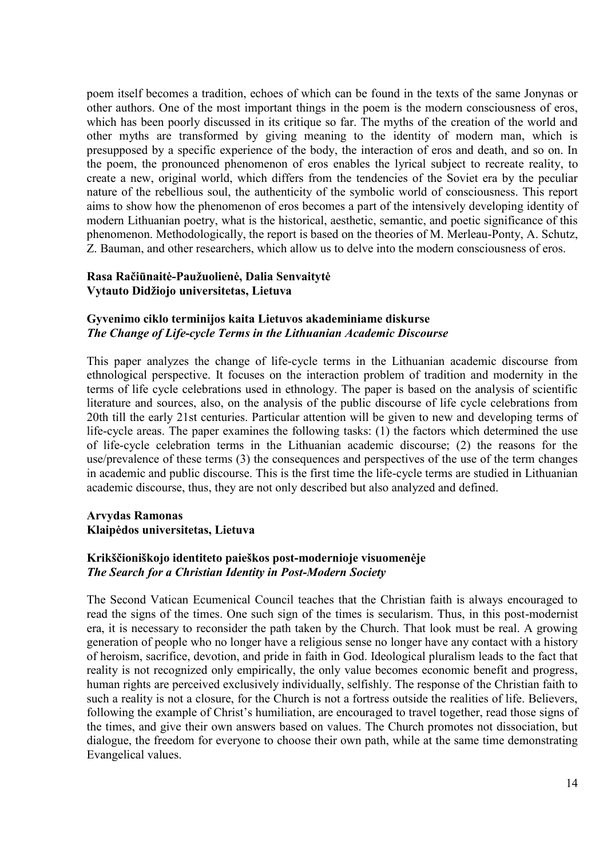poem itself becomes a tradition, echoes of which can be found in the texts of the same Jonynas or other authors. One of the most important things in the poem is the modern consciousness of eros, which has been poorly discussed in its critique so far. The myths of the creation of the world and other myths are transformed by giving meaning to the identity of modern man, which is presupposed by a specific experience of the body, the interaction of eros and death, and so on. In the poem, the pronounced phenomenon of eros enables the lyrical subject to recreate reality, to create a new, original world, which differs from the tendencies of the Soviet era by the peculiar nature of the rebellious soul, the authenticity of the symbolic world of consciousness. This report aims to show how the phenomenon of eros becomes a part of the intensively developing identity of modern Lithuanian poetry, what is the historical, aesthetic, semantic, and poetic significance of this phenomenon. Methodologically, the report is based on the theories of M. Merleau-Ponty, A. Schutz, Z. Bauman, and other researchers, which allow us to delve into the modern consciousness of eros.

### **Rasa Račiūnaitė-Paužuolienė, Dalia Senvaitytė Vytauto Didžiojo universitetas, Lietuva**

### **Gyvenimo ciklo terminijos kaita Lietuvos akademiniame diskurse** *The Change of Life-cycle Terms in the Lithuanian Academic Discourse*

This paper analyzes the change of life-cycle terms in the Lithuanian academic discourse from ethnological perspective. It focuses on the interaction problem of tradition and modernity in the terms of life cycle celebrations used in ethnology. The paper is based on the analysis of scientific literature and sources, also, on the analysis of the public discourse of life cycle celebrations from 20th till the early 21st centuries. Particular attention will be given to new and developing terms of life-cycle areas. The paper examines the following tasks: (1) the factors which determined the use of life-cycle celebration terms in the Lithuanian academic discourse; (2) the reasons for the use/prevalence of these terms (3) the consequences and perspectives of the use of the term changes in academic and public discourse. This is the first time the life-cycle terms are studied in Lithuanian academic discourse, thus, they are not only described but also analyzed and defined.

### **Arvydas Ramonas Klaipėdos universitetas, Lietuva**

#### **Krikščioniškojo identiteto paieškos post-modernioje visuomenėje** *The Search for a Christian Identity in Post-Modern Society*

The Second Vatican Ecumenical Council teaches that the Christian faith is always encouraged to read the signs of the times. One such sign of the times is secularism. Thus, in this post-modernist era, it is necessary to reconsider the path taken by the Church. That look must be real. A growing generation of people who no longer have a religious sense no longer have any contact with a history of heroism, sacrifice, devotion, and pride in faith in God. Ideological pluralism leads to the fact that reality is not recognized only empirically, the only value becomes economic benefit and progress, human rights are perceived exclusively individually, selfishly. The response of the Christian faith to such a reality is not a closure, for the Church is not a fortress outside the realities of life. Believers, following the example of Christ's humiliation, are encouraged to travel together, read those signs of the times, and give their own answers based on values. The Church promotes not dissociation, but dialogue, the freedom for everyone to choose their own path, while at the same time demonstrating Evangelical values.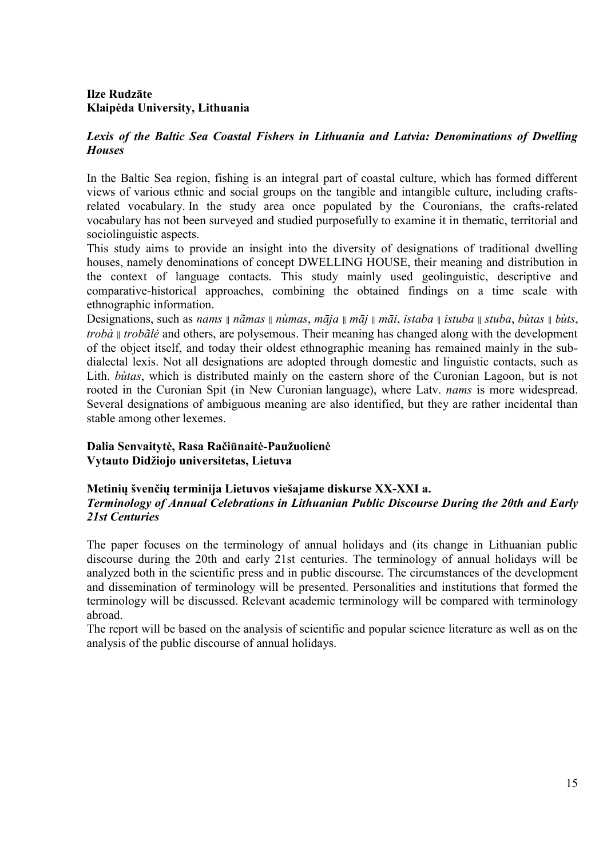# **Ilze Rudzāte Klaipėda University, Lithuania**

## *Lexis of the Baltic Sea Coastal Fishers in Lithuania and Latvia: Denominations of Dwelling Houses*

In the Baltic Sea region, fishing is an integral part of coastal culture, which has formed different views of various ethnic and social groups on the tangible and intangible culture, including craftsrelated vocabulary. In the study area once populated by the Couronians, the crafts-related vocabulary has not been surveyed and studied purposefully to examine it in thematic, territorial and sociolinguistic aspects.

This study aims to provide an insight into the diversity of designations of traditional dwelling houses, namely denominations of concept DWELLING HOUSE, their meaning and distribution in the context of language contacts. This study mainly used geolinguistic, descriptive and comparative-historical approaches, combining the obtained findings on a time scale with ethnographic information.

Designations, such as nams  $\parallel$  nãmas  $\parallel$  nùmas, māja  $\parallel$  māj  $\parallel$  māi, istaba  $\parallel$  istuba  $\parallel$  stuba, bùtas  $\parallel$  bùts, *trobà ∥ trobãlė* and others, are polysemous. Their meaning has changed along with the development of the object itself, and today their oldest ethnographic meaning has remained mainly in the subdialectal lexis. Not all designations are adopted through domestic and linguistic contacts, such as Lith. *bùtas*, which is distributed mainly on the eastern shore of the Curonian Lagoon, but is not rooted in the Curonian Spit (in New Curonian language), where Latv. *nams* is more widespread. Several designations of ambiguous meaning are also identified, but they are rather incidental than stable among other lexemes.

**Dalia Senvaitytė, Rasa Račiūnaitė-Paužuolienė Vytauto Didžiojo universitetas, Lietuva**

### **Metinių švenčių terminija Lietuvos viešajame diskurse XX-XXI a.** *Terminology of Annual Celebrations in Lithuanian Public Discourse During the 20th and Early 21st Centuries*

The paper focuses on the terminology of annual holidays and (its change in Lithuanian public discourse during the 20th and early 21st centuries. The terminology of annual holidays will be analyzed both in the scientific press and in public discourse. The circumstances of the development and dissemination of terminology will be presented. Personalities and institutions that formed the terminology will be discussed. Relevant academic terminology will be compared with terminology abroad.

The report will be based on the analysis of scientific and popular science literature as well as on the analysis of the public discourse of annual holidays.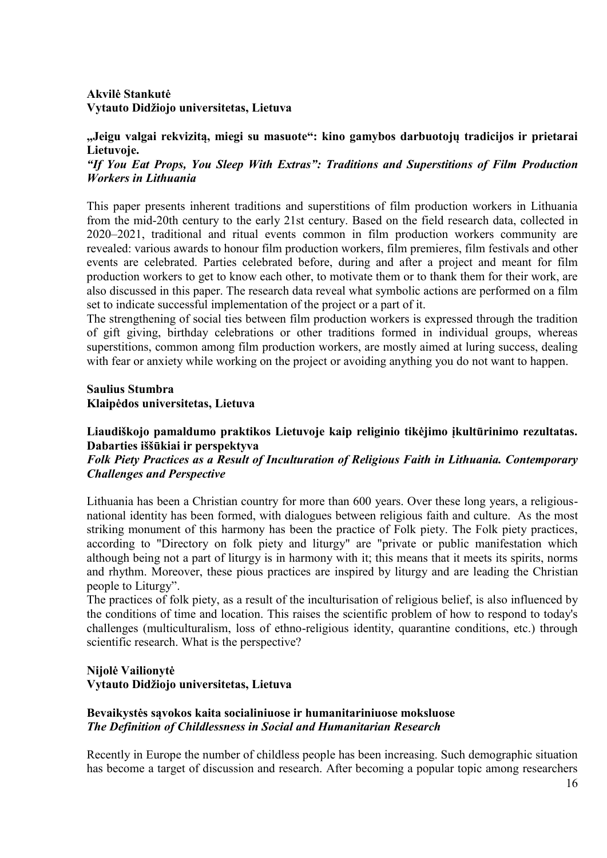# **Akvilė Stankutė Vytauto Didžiojo universitetas, Lietuva**

**"Jeigu valgai rekvizitą, miegi su masuote": kino gamybos darbuotojų tradicijos ir prietarai Lietuvoje.**

*"If You Eat Props, You Sleep With Extras": Traditions and Superstitions of Film Production Workers in Lithuania*

This paper presents inherent traditions and superstitions of film production workers in Lithuania from the mid-20th century to the early 21st century. Based on the field research data, collected in 2020–2021, traditional and ritual events common in film production workers community are revealed: various awards to honour film production workers, film premieres, film festivals and other events are celebrated. Parties celebrated before, during and after a project and meant for film production workers to get to know each other, to motivate them or to thank them for their work, are also discussed in this paper. The research data reveal what symbolic actions are performed on a film set to indicate successful implementation of the project or a part of it.

The strengthening of social ties between film production workers is expressed through the tradition of gift giving, birthday celebrations or other traditions formed in individual groups, whereas superstitions, common among film production workers, are mostly aimed at luring success, dealing with fear or anxiety while working on the project or avoiding anything you do not want to happen.

#### **Saulius Stumbra Klaipėdos universitetas, Lietuva**

**Liaudiškojo pamaldumo praktikos Lietuvoje kaip religinio tikėjimo įkultūrinimo rezultatas. Dabarties iššūkiai ir perspektyva**

## *Folk Piety Practices as a Result of Inculturation of Religious Faith in Lithuania. Contemporary Challenges and Perspective*

Lithuania has been a Christian country for more than 600 years. Over these long years, a religiousnational identity has been formed, with dialogues between religious faith and culture. As the most striking monument of this harmony has been the practice of Folk piety. The Folk piety practices, according to "Directory on folk piety and liturgy" are "private or public manifestation which although being not a part of liturgy is in harmony with it; this means that it meets its spirits, norms and rhythm. Moreover, these pious practices are inspired by liturgy and are leading the Christian people to Liturgy".

The practices of folk piety, as a result of the inculturisation of religious belief, is also influenced by the conditions of time and location. This raises the scientific problem of how to respond to today's challenges (multiculturalism, loss of ethno-religious identity, quarantine conditions, etc.) through scientific research. What is the perspective?

# **Nijolė Vailionytė Vytauto Didžiojo universitetas, Lietuva**

## **Bevaikystės sąvokos kaita socialiniuose ir humanitariniuose moksluose** *The Definition of Childlessness in Social and Humanitarian Research*

Recently in Europe the number of childless people has been increasing. Such demographic situation has become a target of discussion and research. After becoming a popular topic among researchers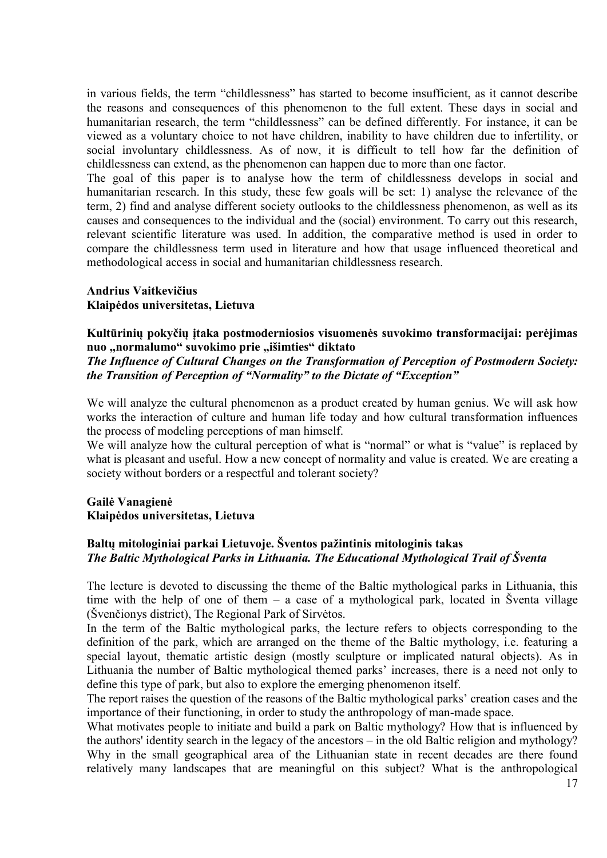in various fields, the term "childlessness" has started to become insufficient, as it cannot describe the reasons and consequences of this phenomenon to the full extent. These days in social and humanitarian research, the term "childlessness" can be defined differently. For instance, it can be viewed as a voluntary choice to not have children, inability to have children due to infertility, or social involuntary childlessness. As of now, it is difficult to tell how far the definition of childlessness can extend, as the phenomenon can happen due to more than one factor.

The goal of this paper is to analyse how the term of childlessness develops in social and humanitarian research. In this study, these few goals will be set: 1) analyse the relevance of the term, 2) find and analyse different society outlooks to the childlessness phenomenon, as well as its causes and consequences to the individual and the (social) environment. To carry out this research, relevant scientific literature was used. In addition, the comparative method is used in order to compare the childlessness term used in literature and how that usage influenced theoretical and methodological access in social and humanitarian childlessness research.

### **Andrius Vaitkevičius Klaipėdos universitetas, Lietuva**

### **Kultūrinių pokyčių įtaka postmoderniosios visuomenės suvokimo transformacijai: perėjimas**  nuo "normalumo" suvokimo prie "išimties" diktato

*The Influence of Cultural Changes on the Transformation of Perception of Postmodern Society: the Transition of Perception of "Normality" to the Dictate of "Exception"*

We will analyze the cultural phenomenon as a product created by human genius. We will ask how works the interaction of culture and human life today and how cultural transformation influences the process of modeling perceptions of man himself.

We will analyze how the cultural perception of what is "normal" or what is "value" is replaced by what is pleasant and useful. How a new concept of normality and value is created. We are creating a society without borders or a respectful and tolerant society?

### **Gailė Vanagienė Klaipėdos universitetas, Lietuva**

## **Baltų mitologiniai parkai Lietuvoje. Šventos pažintinis mitologinis takas** *The Baltic Mythological Parks in Lithuania. The Educational Mythological Trail of Šventa*

The lecture is devoted to discussing the theme of the Baltic mythological parks in Lithuania, this time with the help of one of them – a case of a mythological park, located in Šventa village (Švenčionys district), The Regional Park of Sirvėtos.

In the term of the Baltic mythological parks, the lecture refers to objects corresponding to the definition of the park, which are arranged on the theme of the Baltic mythology, i.e. featuring a special layout, thematic artistic design (mostly sculpture or implicated natural objects). As in Lithuania the number of Baltic mythological themed parks' increases, there is a need not only to define this type of park, but also to explore the emerging phenomenon itself.

The report raises the question of the reasons of the Baltic mythological parks' creation cases and the importance of their functioning, in order to study the anthropology of man-made space.

What motivates people to initiate and build a park on Baltic mythology? How that is influenced by the authors' identity search in the legacy of the ancestors – in the old Baltic religion and mythology? Why in the small geographical area of the Lithuanian state in recent decades are there found relatively many landscapes that are meaningful on this subject? What is the anthropological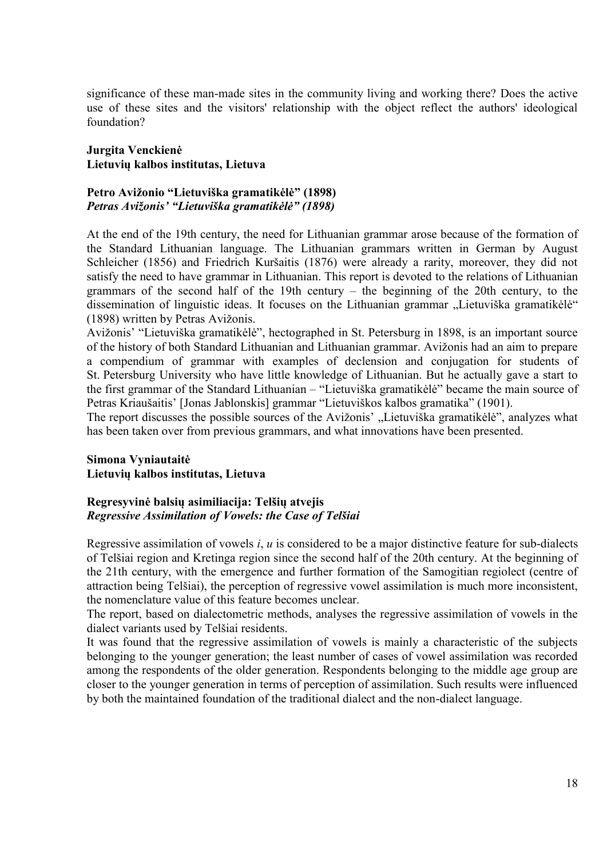significance of these man-made sites in the community living and working there? Does the active use of these sites and the visitors' relationship with the object reflect the authors' ideological foundation?

### **Jurgita Venckienė Lietuvių kalbos institutas, Lietuva**

#### **Petro Avižonio "Lietuviška gramatikėlė" (1898)** *Petras Avižonis' "Lietuviška gramatikėlė" (1898)*

At the end of the 19th century, the need for Lithuanian grammar arose because of the formation of the Standard Lithuanian language. The Lithuanian grammars written in German by August Schleicher (1856) and Friedrich Kuršaitis (1876) were already a rarity, moreover, they did not satisfy the need to have grammar in Lithuanian. This report is devoted to the relations of Lithuanian grammars of the second half of the 19th century – the beginning of the 20th century, to the dissemination of linguistic ideas. It focuses on the Lithuanian grammar "Lietuviška gramatikėlė" (1898) written by Petras Avižonis.

Avižonis' "Lietuviška gramatikėlė", hectographed in St. Petersburg in 1898, is an important source of the history of both Standard Lithuanian and Lithuanian grammar. Avižonis had an aim to prepare a compendium of grammar with examples of declension and conjugation for students of St. Petersburg University who have little knowledge of Lithuanian. But he actually gave a start to the first grammar of the Standard Lithuanian – "Lietuviška gramatikėlė" became the main source of Petras Kriaušaitis' [Jonas Jablonskis] grammar "Lietuviškos kalbos gramatika" (1901).

The report discusses the possible sources of the Avižonis' "Lietuviška gramatikėlė", analyzes what has been taken over from previous grammars, and what innovations have been presented.

#### **Simona Vyniautaitė Lietuvių kalbos institutas, Lietuva**

#### **Regresyvinė balsių asimiliacija: Telšių atvejis** *Regressive Assimilation of Vowels: the Case of Telšiai*

Regressive assimilation of vowels *i*, *u* is considered to be a major distinctive feature for sub-dialects of Telšiai region and Kretinga region since the second half of the 20th century. At the beginning of the 21th century, with the emergence and further formation of the Samogitian regiolect (centre of attraction being Telšiai), the perception of regressive vowel assimilation is much more inconsistent, the nomenclature value of this feature becomes unclear.

The report, based on dialectometric methods, analyses the regressive assimilation of vowels in the dialect variants used by Telšiai residents.

It was found that the regressive assimilation of vowels is mainly a characteristic of the subjects belonging to the younger generation; the least number of cases of vowel assimilation was recorded among the respondents of the older generation. Respondents belonging to the middle age group are closer to the younger generation in terms of perception of assimilation. Such results were influenced by both the maintained foundation of the traditional dialect and the non-dialect language.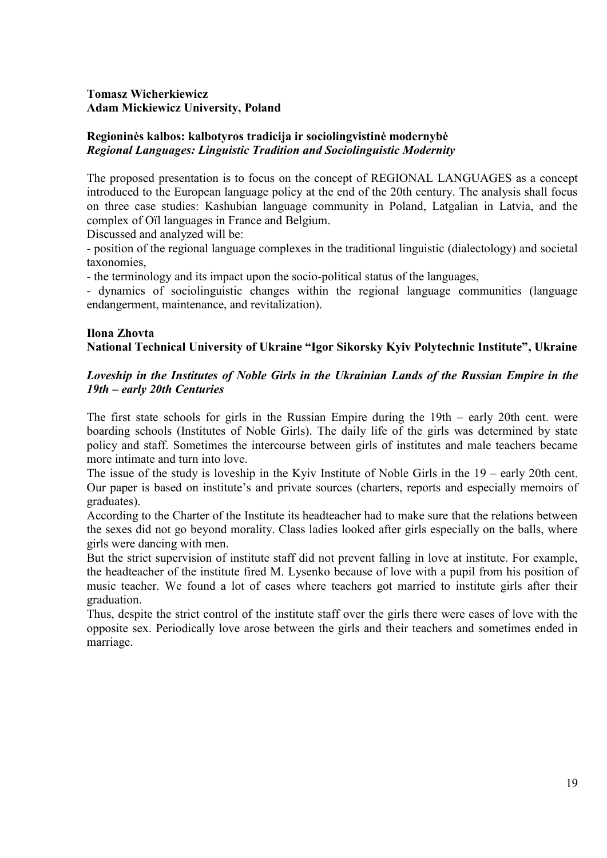## **Tomasz Wicherkiewicz Adam Mickiewicz University, Poland**

## **Regioninės kalbos: kalbotyros tradicija ir sociolingvistinė modernybė** *Regional Languages: Linguistic Tradition and Sociolinguistic Modernity*

The proposed presentation is to focus on the concept of REGIONAL LANGUAGES as a concept introduced to the European language policy at the end of the 20th century. The analysis shall focus on three case studies: Kashubian language community in Poland, Latgalian in Latvia, and the complex of Oïl languages in France and Belgium.

Discussed and analyzed will be:

- position of the regional language complexes in the traditional linguistic (dialectology) and societal taxonomies,

- the terminology and its impact upon the socio-political status of the languages,

- dynamics of sociolinguistic changes within the regional language communities (language endangerment, maintenance, and revitalization).

# **Ilona Zhovta National Technical University of Ukraine "Igor Sikorsky Kyiv Polytechnic Institute", Ukraine**

## *Loveship in the Institutes of Noble Girls in the Ukrainian Lands of the Russian Empire in the 19th – early 20th Centuries*

The first state schools for girls in the Russian Empire during the 19th – early 20th cent. were boarding schools (Institutes of Noble Girls). The daily life of the girls was determined by state policy and staff. Sometimes the intercourse between girls of institutes and male teachers became more intimate and turn into love.

The issue of the study is loveship in the Kyiv Institute of Noble Girls in the 19 – early 20th cent. Our paper is based on institute's and private sources (charters, reports and especially memoirs of graduates).

According to the Charter of the Institute its headteacher had to make sure that the relations between the sexes did not go beyond morality. Class ladies looked after girls especially on the balls, where girls were dancing with men.

But the strict supervision of institute staff did not prevent falling in love at institute. For example, the headteacher of the institute fired M. Lysenko because of love with a pupil from his position of music teacher. We found a lot of cases where teachers got married to institute girls after their graduation.

Thus, despite the strict control of the institute staff over the girls there were cases of love with the opposite sex. Periodically love arose between the girls and their teachers and sometimes ended in marriage.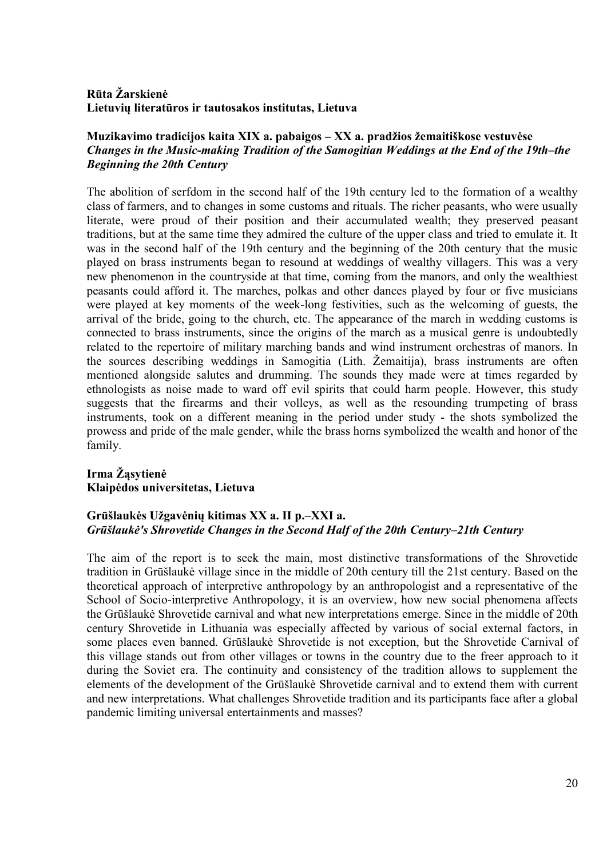# **Rūta Žarskienė Lietuvių literatūros ir tautosakos institutas, Lietuva**

## **Muzikavimo tradicijos kaita XIX a. pabaigos – XX a. pradžios žemaitiškose vestuvėse**  *Changes in the Music-making Tradition of the Samogitian Weddings at the End of the 19th–the Beginning the 20th Century*

The abolition of serfdom in the second half of the 19th century led to the formation of a wealthy class of farmers, and to changes in some customs and rituals. The richer peasants, who were usually literate, were proud of their position and their accumulated wealth; they preserved peasant traditions, but at the same time they admired the culture of the upper class and tried to emulate it. It was in the second half of the 19th century and the beginning of the 20th century that the music played on brass instruments began to resound at weddings of wealthy villagers. This was a very new phenomenon in the countryside at that time, coming from the manors, and only the wealthiest peasants could afford it. The marches, polkas and other dances played by four or five musicians were played at key moments of the week-long festivities, such as the welcoming of guests, the arrival of the bride, going to the church, etc. The appearance of the march in wedding customs is connected to brass instruments, since the origins of the march as a musical genre is undoubtedly related to the repertoire of military marching bands and wind instrument orchestras of manors. In the sources describing weddings in Samogitia (Lith. Žemaitija), brass instruments are often mentioned alongside salutes and drumming. The sounds they made were at times regarded by ethnologists as noise made to ward off evil spirits that could harm people. However, this study suggests that the firearms and their volleys, as well as the resounding trumpeting of brass instruments, took on a different meaning in the period under study - the shots symbolized the prowess and pride of the male gender, while the brass horns symbolized the wealth and honor of the family.

# **Irma Žąsytienė Klaipėdos universitetas, Lietuva**

# **Grūšlaukės Užgavėnių kitimas XX a. II p.–XXI a.** *Grūšlaukė's Shrovetide Changes in the Second Half of the 20th Century–21th Century*

The aim of the report is to seek the main, most distinctive transformations of the Shrovetide tradition in Grūšlaukė village since in the middle of 20th century till the 21st century. Based on the theoretical approach of interpretive anthropology by an anthropologist and a representative of the School of Socio-interpretive Anthropology, it is an overview, how new social phenomena affects the Grūšlaukė Shrovetide carnival and what new interpretations emerge. Since in the middle of 20th century Shrovetide in Lithuania was especially affected by various of social external factors, in some places even banned. Grūšlaukė Shrovetide is not exception, but the Shrovetide Carnival of this village stands out from other villages or towns in the country due to the freer approach to it during the Soviet era. The continuity and consistency of the tradition allows to supplement the elements of the development of the Grūšlaukė Shrovetide carnival and to extend them with current and new interpretations. What challenges Shrovetide tradition and its participants face after a global pandemic limiting universal entertainments and masses?